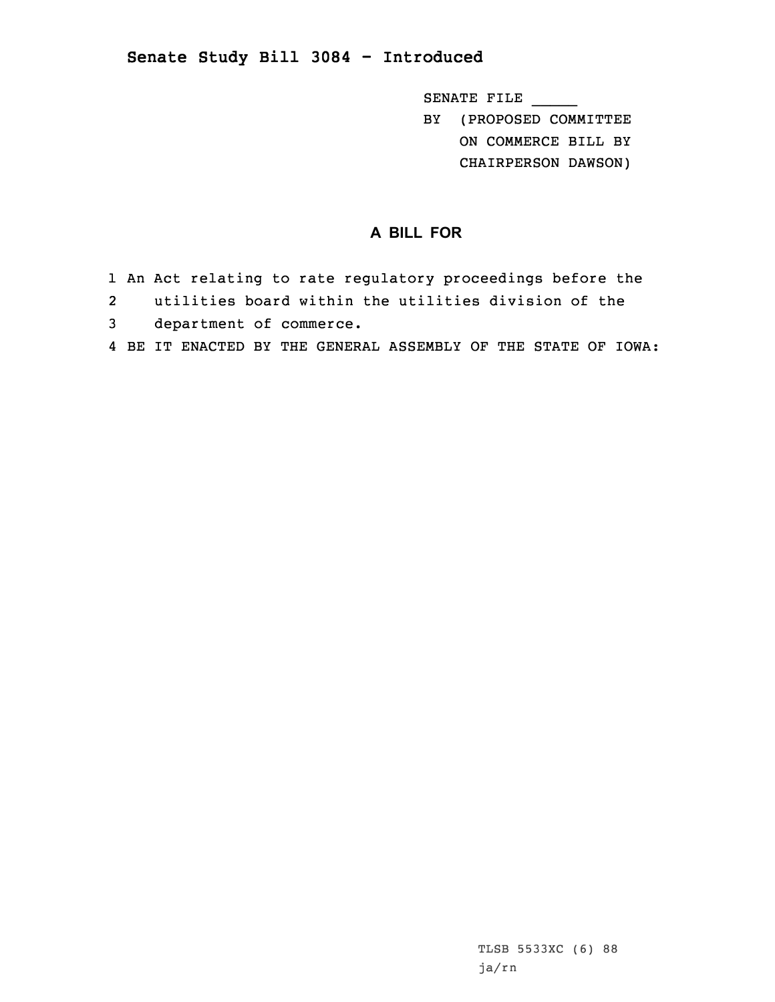## **Senate Study Bill 3084 - Introduced**

SENATE FILE \_\_\_\_\_

BY (PROPOSED COMMITTEE ON COMMERCE BILL BY

CHAIRPERSON DAWSON)

## **A BILL FOR**

- 1 An Act relating to rate regulatory proceedings before the
- 2 utilities board within the utilities division of the
- 3 department of commerce.
- 4 BE IT ENACTED BY THE GENERAL ASSEMBLY OF THE STATE OF IOWA: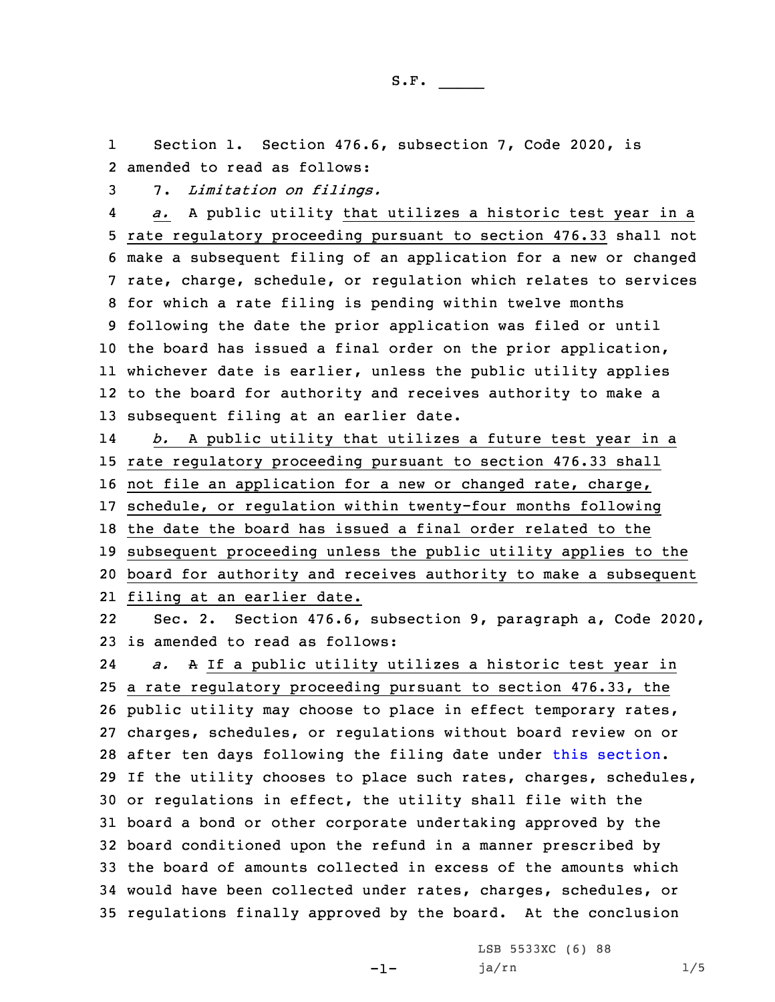1 Section 1. Section 476.6, subsection 7, Code 2020, is 2 amended to read as follows:

3 7. *Limitation on filings.*

4 *a.* <sup>A</sup> public utility that utilizes <sup>a</sup> historic test year in <sup>a</sup> rate regulatory proceeding pursuant to section 476.33 shall not make <sup>a</sup> subsequent filing of an application for <sup>a</sup> new or changed rate, charge, schedule, or regulation which relates to services for which <sup>a</sup> rate filing is pending within twelve months following the date the prior application was filed or until the board has issued <sup>a</sup> final order on the prior application, whichever date is earlier, unless the public utility applies to the board for authority and receives authority to make <sup>a</sup> subsequent filing at an earlier date.

14 *b.* <sup>A</sup> public utility that utilizes <sup>a</sup> future test year in <sup>a</sup> rate regulatory proceeding pursuant to section 476.33 shall not file an application for <sup>a</sup> new or changed rate, charge, schedule, or regulation within twenty-four months following the date the board has issued <sup>a</sup> final order related to the subsequent proceeding unless the public utility applies to the board for authority and receives authority to make <sup>a</sup> subsequent

21 filing at an earlier date.

22 Sec. 2. Section 476.6, subsection 9, paragraph a, Code 2020, 23 is amended to read as follows:

24 *a.* <sup>A</sup> If <sup>a</sup> public utility utilizes <sup>a</sup> historic test year in <sup>a</sup> rate regulatory proceeding pursuant to section 476.33, the public utility may choose to place in effect temporary rates, charges, schedules, or regulations without board review on or after ten days following the filing date under this [section](https://www.legis.iowa.gov/docs/code/2020/476.6.pdf). If the utility chooses to place such rates, charges, schedules, or regulations in effect, the utility shall file with the board <sup>a</sup> bond or other corporate undertaking approved by the board conditioned upon the refund in <sup>a</sup> manner prescribed by the board of amounts collected in excess of the amounts which would have been collected under rates, charges, schedules, or regulations finally approved by the board. At the conclusion

-1-

LSB 5533XC (6) 88 ja/rn 1/5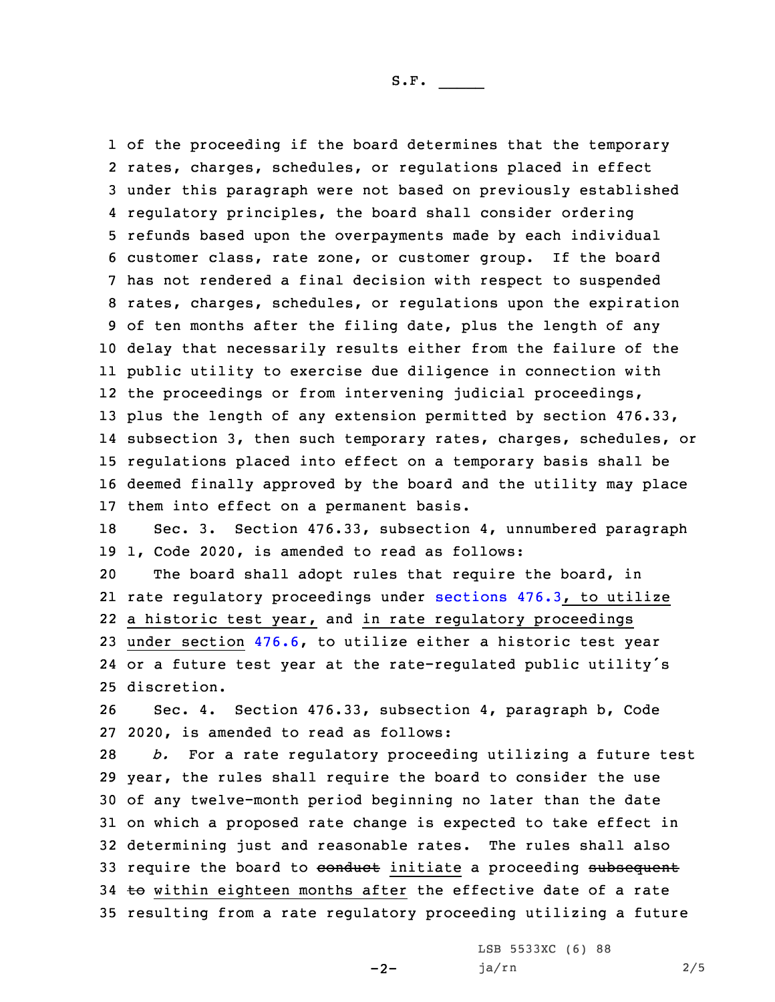of the proceeding if the board determines that the temporary rates, charges, schedules, or regulations placed in effect under this paragraph were not based on previously established regulatory principles, the board shall consider ordering refunds based upon the overpayments made by each individual customer class, rate zone, or customer group. If the board has not rendered <sup>a</sup> final decision with respect to suspended rates, charges, schedules, or regulations upon the expiration of ten months after the filing date, plus the length of any delay that necessarily results either from the failure of the public utility to exercise due diligence in connection with the proceedings or from intervening judicial proceedings, plus the length of any extension permitted by section 476.33, subsection 3, then such temporary rates, charges, schedules, or regulations placed into effect on <sup>a</sup> temporary basis shall be deemed finally approved by the board and the utility may place them into effect on <sup>a</sup> permanent basis.

18 Sec. 3. Section 476.33, subsection 4, unnumbered paragraph 19 1, Code 2020, is amended to read as follows:

 The board shall adopt rules that require the board, in rate regulatory proceedings under [sections](https://www.legis.iowa.gov/docs/code/2020/476.3.pdf) 476.3, to utilize <sup>a</sup> historic test year, and in rate regulatory proceedings under section [476.6](https://www.legis.iowa.gov/docs/code/2020/476.6.pdf), to utilize either <sup>a</sup> historic test year or <sup>a</sup> future test year at the rate-regulated public utility's discretion.

26 Sec. 4. Section 476.33, subsection 4, paragraph b, Code 27 2020, is amended to read as follows:

 *b.* For <sup>a</sup> rate regulatory proceeding utilizing <sup>a</sup> future test year, the rules shall require the board to consider the use of any twelve-month period beginning no later than the date on which <sup>a</sup> proposed rate change is expected to take effect in determining just and reasonable rates. The rules shall also 33 require the board to conduct initiate a proceeding subsequent 34 to within eighteen months after the effective date of a rate resulting from <sup>a</sup> rate regulatory proceeding utilizing <sup>a</sup> future

 $-2-$ 

LSB 5533XC (6) 88 ja/rn 2/5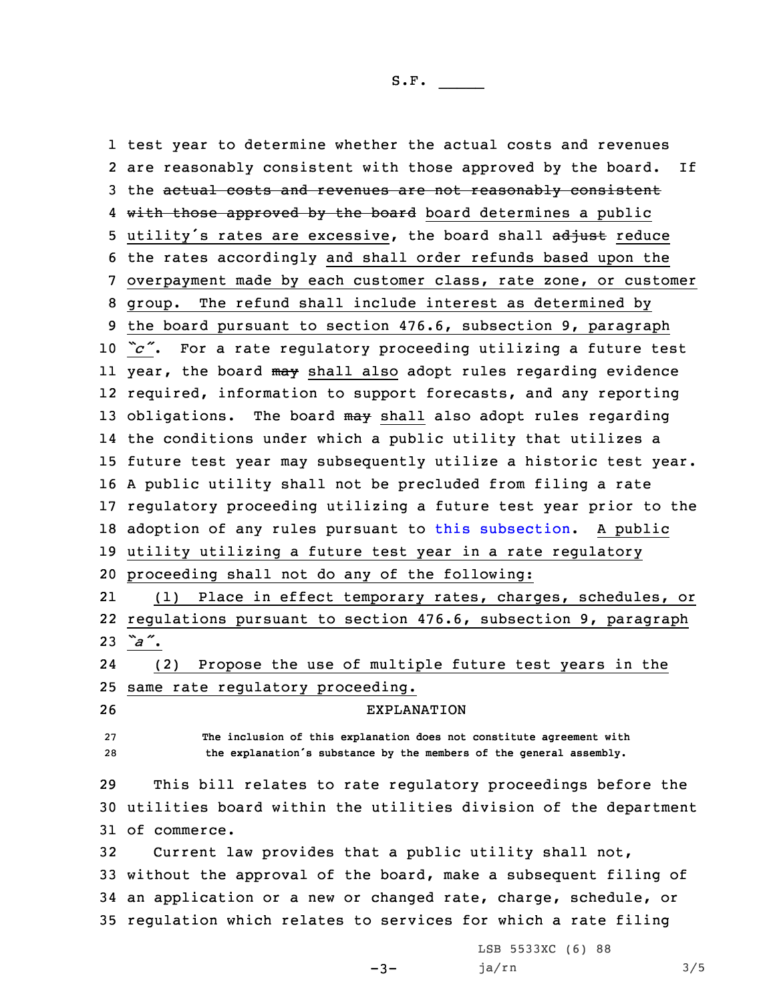test year to determine whether the actual costs and revenues are reasonably consistent with those approved by the board. If 3 the actual costs and revenues are not reasonably consistent 4 <del>with those approved by the board</del> board determines a public 5 utility's rates are excessive, the board shall adjust reduce the rates accordingly and shall order refunds based upon the overpayment made by each customer class, rate zone, or customer group. The refund shall include interest as determined by the board pursuant to section 476.6, subsection 9, paragraph *"c"*. For <sup>a</sup> rate regulatory proceeding utilizing <sup>a</sup> future test ll year, the board <del>may</del> shall also adopt rules regarding evidence required, information to support forecasts, and any reporting 13 obligations. The board may shall also adopt rules regarding the conditions under which <sup>a</sup> public utility that utilizes <sup>a</sup> future test year may subsequently utilize <sup>a</sup> historic test year. <sup>A</sup> public utility shall not be precluded from filing <sup>a</sup> rate regulatory proceeding utilizing <sup>a</sup> future test year prior to the 18 adoption of any rules pursuant to this [subsection](https://www.legis.iowa.gov/docs/code/2020/476.33.pdf). A public utility utilizing <sup>a</sup> future test year in <sup>a</sup> rate regulatory proceeding shall not do any of the following: 21 (1) Place in effect temporary rates, charges, schedules, or regulations pursuant to section 476.6, subsection 9, paragraph 23 *"a"*. 24 (2) Propose the use of multiple future test years in the same rate regulatory proceeding. EXPLANATION **The inclusion of this explanation does not constitute agreement with the explanation's substance by the members of the general assembly.** This bill relates to rate regulatory proceedings before the utilities board within the utilities division of the department of commerce. Current law provides that <sup>a</sup> public utility shall not, without the approval of the board, make <sup>a</sup> subsequent filing of an application or <sup>a</sup> new or changed rate, charge, schedule, or regulation which relates to services for which <sup>a</sup> rate filing

 $-3-$ 

LSB 5533XC (6) 88 ja/rn 3/5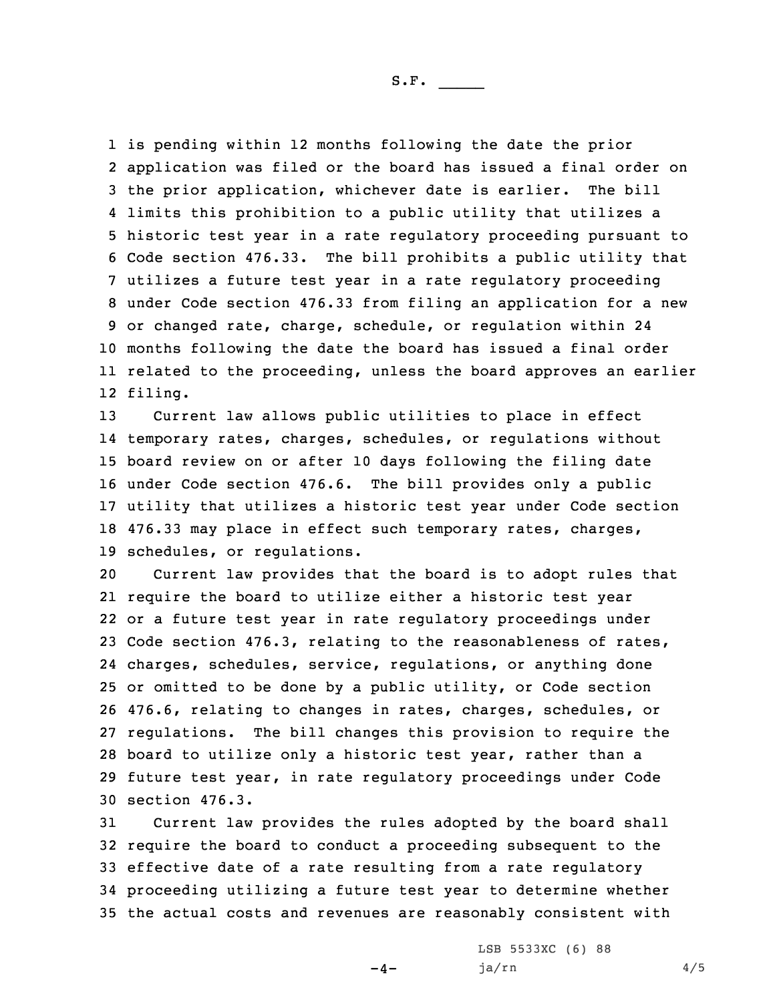is pending within 12 months following the date the prior application was filed or the board has issued <sup>a</sup> final order on the prior application, whichever date is earlier. The bill limits this prohibition to <sup>a</sup> public utility that utilizes <sup>a</sup> historic test year in <sup>a</sup> rate regulatory proceeding pursuant to Code section 476.33. The bill prohibits <sup>a</sup> public utility that utilizes <sup>a</sup> future test year in <sup>a</sup> rate regulatory proceeding under Code section 476.33 from filing an application for <sup>a</sup> new or changed rate, charge, schedule, or regulation within 24 months following the date the board has issued <sup>a</sup> final order related to the proceeding, unless the board approves an earlier 12 filing.

 Current law allows public utilities to place in effect temporary rates, charges, schedules, or regulations without board review on or after 10 days following the filing date under Code section 476.6. The bill provides only <sup>a</sup> public utility that utilizes <sup>a</sup> historic test year under Code section 476.33 may place in effect such temporary rates, charges, schedules, or regulations.

 Current law provides that the board is to adopt rules that require the board to utilize either <sup>a</sup> historic test year or <sup>a</sup> future test year in rate regulatory proceedings under Code section 476.3, relating to the reasonableness of rates, charges, schedules, service, regulations, or anything done or omitted to be done by <sup>a</sup> public utility, or Code section 476.6, relating to changes in rates, charges, schedules, or regulations. The bill changes this provision to require the board to utilize only <sup>a</sup> historic test year, rather than <sup>a</sup> future test year, in rate regulatory proceedings under Code section 476.3.

 Current law provides the rules adopted by the board shall require the board to conduct <sup>a</sup> proceeding subsequent to the effective date of <sup>a</sup> rate resulting from <sup>a</sup> rate regulatory proceeding utilizing <sup>a</sup> future test year to determine whether the actual costs and revenues are reasonably consistent with

 $-4-$ 

LSB 5533XC (6) 88  $ja/rn$  4/5